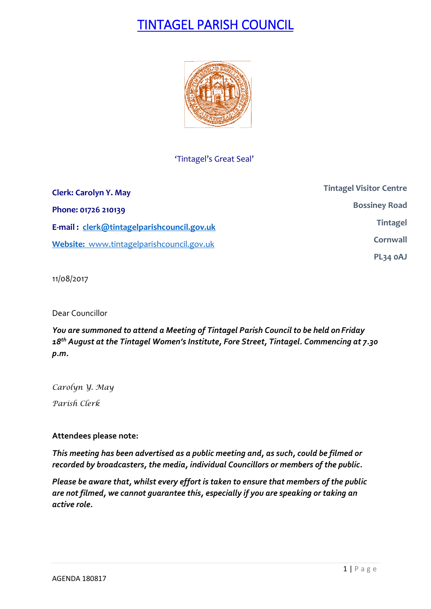# TINTAGEL PARISH COUNCIL



### 'Tintagel's Great Seal'

| <b>Clerk: Carolyn Y. May</b>               | <b>Tintagel Visitor Centre</b> |
|--------------------------------------------|--------------------------------|
| Phone: 01726 210139                        | <b>Bossiney Road</b>           |
| E-mail: clerk@tintagelparishcouncil.gov.uk | <b>Tintagel</b>                |
| Website: www.tintagelparishcouncil.gov.uk  | Cornwall                       |
|                                            | PL34 OAJ                       |

11/08/2017

Dear Councillor

*You are summoned to attend a Meeting of Tintagel Parish Council to be held on Friday 18 th August at the Tintagel Women's Institute, Fore Street, Tintagel. Commencing at 7.30 p.m.* 

*Carolyn Y. May Parish Clerk*

**Attendees please note:**

*This meeting has been advertised as a public meeting and, as such, could be filmed or recorded by broadcasters, the media, individual Councillors or members of the public.*

*Please be aware that, whilst every effort is taken to ensure that members of the public are not filmed, we cannot guarantee this, especially if you are speaking or taking an active role.*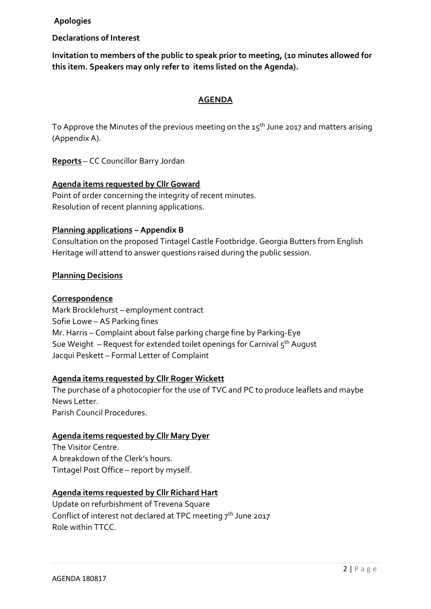**Apologies**

**Declarations of Interest**

**Invitation to members of the public to speak prior to meeting, (10 minutes allowed for this item. Speakers may only refer to items listed on the Agenda).**

#### **AGENDA**

To Approve the Minutes of the previous meeting on the  $15<sup>th</sup>$  June 2017 and matters arising (Appendix A).

**Reports** – CC Councillor Barry Jordan

#### **Agenda items requested by Cllr Goward**

Point of order concerning the integrity of recent minutes. Resolution of recent planning applications.

#### **Planning applications – Appendix B**

Consultation on the proposed Tintagel Castle Footbridge. Georgia Butters from English Heritage will attend to answer questions raised during the public session.

#### **Planning Decisions**

#### **Correspondence**

Mark Brocklehurst – employment contract Sofie Lowe – AS Parking fines Mr. Harris – Complaint about false parking charge fine by Parking-Eye Sue Weight – Request for extended toilet openings for Carnival 5<sup>th</sup> August Jacqui Peskett – Formal Letter of Complaint

#### **Agenda items requested by Cllr Roger Wickett**

The purchase of a photocopier for the use of TVC and PC to produce leaflets and maybe News Letter. Parish Council Procedures.

#### **Agenda items requested by Cllr Mary Dyer**

The Visitor Centre. A breakdown of the Clerk's hours. Tintagel Post Office – report by myself.

#### **Agenda items requested by Cllr Richard Hart**

Update on refurbishment of Trevena Square Conflict of interest not declared at TPC meeting  $7<sup>th</sup>$  June 2017 Role within TTCC.